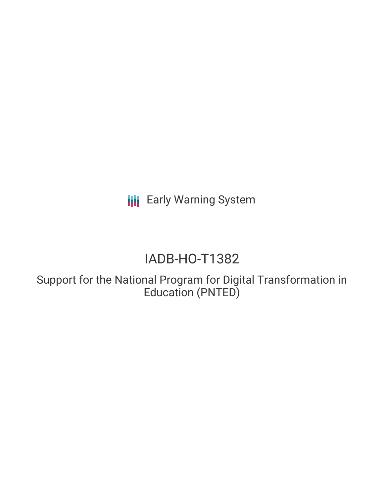**III** Early Warning System

# IADB-HO-T1382

Support for the National Program for Digital Transformation in Education (PNTED)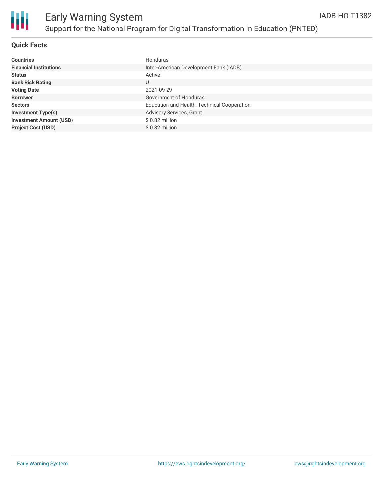

### **Quick Facts**

| <b>Countries</b>               | Honduras                                    |
|--------------------------------|---------------------------------------------|
| <b>Financial Institutions</b>  | Inter-American Development Bank (IADB)      |
| <b>Status</b>                  | Active                                      |
| <b>Bank Risk Rating</b>        | U                                           |
| <b>Voting Date</b>             | 2021-09-29                                  |
| <b>Borrower</b>                | Government of Honduras                      |
| <b>Sectors</b>                 | Education and Health, Technical Cooperation |
| <b>Investment Type(s)</b>      | Advisory Services, Grant                    |
| <b>Investment Amount (USD)</b> | \$0.82 million                              |
| <b>Project Cost (USD)</b>      | $$0.82$ million                             |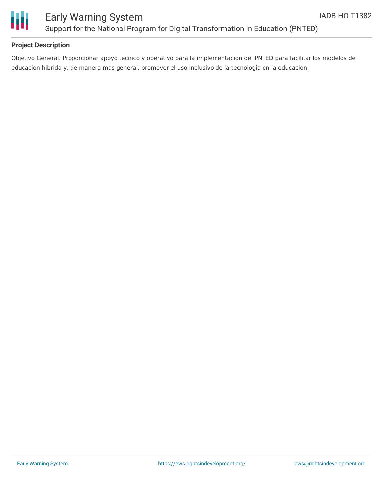

### **Project Description**

Objetivo General. Proporcionar apoyo tecnico y operativo para la implementacion del PNTED para facilitar los modelos de educacion hibrida y, de manera mas general, promover el uso inclusivo de la tecnologia en la educacion.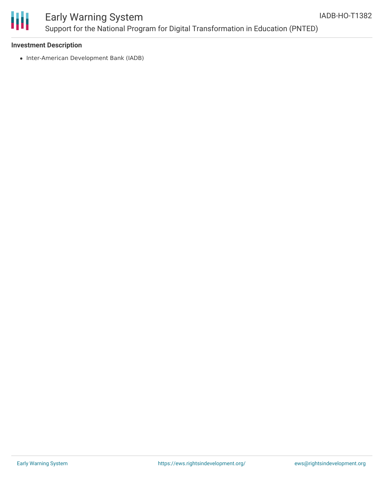

# Early Warning System Support for the National Program for Digital Transformation in Education (PNTED)

#### **Investment Description**

• Inter-American Development Bank (IADB)